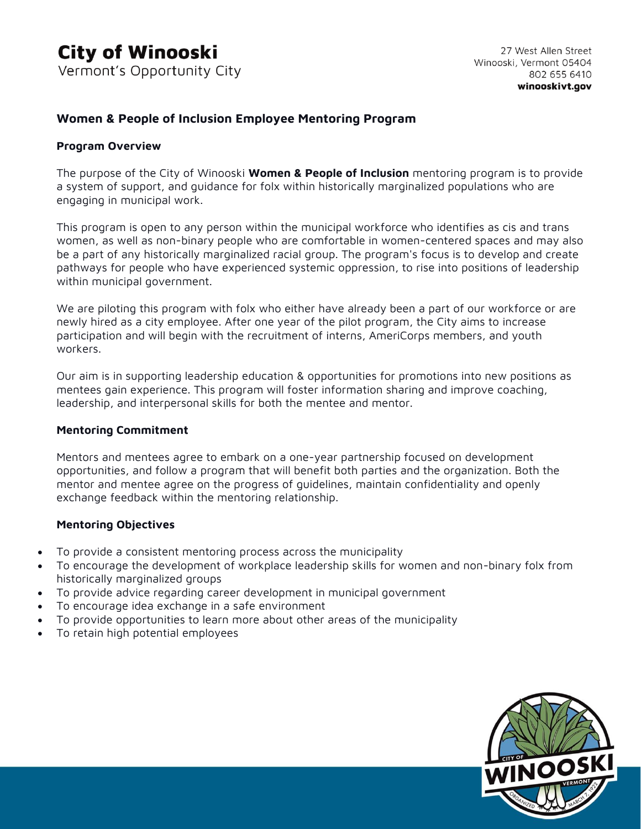### **Women & People of Inclusion Employee Mentoring Program**

#### **Program Overview**

The purpose of the City of Winooski **Women & People of Inclusion** mentoring program is to provide a system of support, and guidance for folx within historically marginalized populations who are engaging in municipal work.

This program is open to any person within the municipal workforce who identifies as cis and trans women, as well as non-binary people who are comfortable in women-centered spaces and may also be a part of any historically marginalized racial group. The program's focus is to develop and create pathways for people who have experienced systemic oppression, to rise into positions of leadership within municipal government.

We are piloting this program with folx who either have already been a part of our workforce or are newly hired as a city employee. After one year of the pilot program, the City aims to increase participation and will begin with the recruitment of interns, AmeriCorps members, and youth workers.

Our aim is in supporting leadership education & opportunities for promotions into new positions as mentees gain experience. This program will foster information sharing and improve coaching, leadership, and interpersonal skills for both the mentee and mentor.

#### **Mentoring Commitment**

Mentors and mentees agree to embark on a one-year partnership focused on development opportunities, and follow a program that will benefit both parties and the organization. Both the mentor and mentee agree on the progress of guidelines, maintain confidentiality and openly exchange feedback within the mentoring relationship.

#### **Mentoring Objectives**

- To provide a consistent mentoring process across the municipality
- To encourage the development of workplace leadership skills for women and non-binary folx from historically marginalized groups
- To provide advice regarding career development in municipal government
- To encourage idea exchange in a safe environment
- To provide opportunities to learn more about other areas of the municipality
- To retain high potential employees

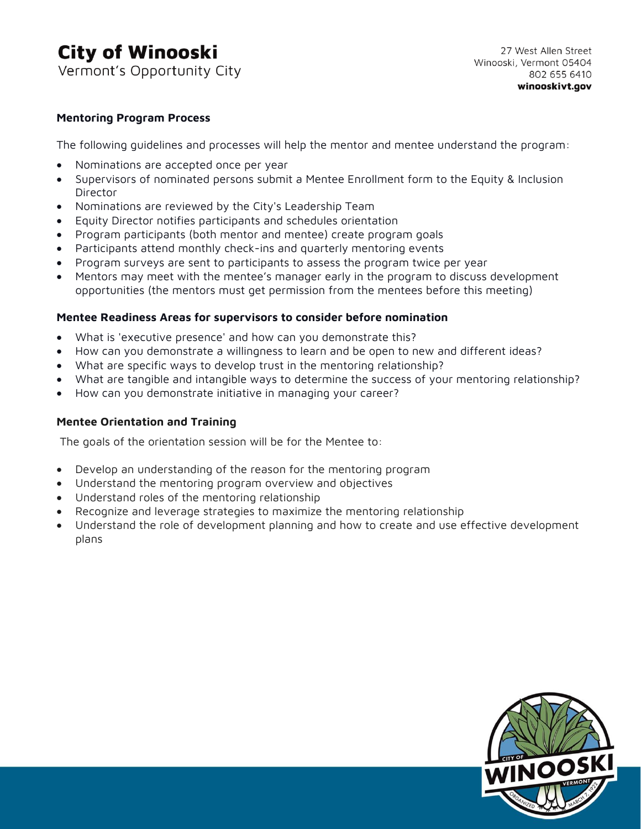## **City of Winooski** Vermont's Opportunity City

#### **Mentoring Program Process**

The following guidelines and processes will help the mentor and mentee understand the program:

- Nominations are accepted once per year
- Supervisors of nominated persons submit a Mentee Enrollment form to the Equity & Inclusion **Director**
- Nominations are reviewed by the City's Leadership Team
- Equity Director notifies participants and schedules orientation
- Program participants (both mentor and mentee) create program goals
- Participants attend monthly check-ins and quarterly mentoring events
- Program surveys are sent to participants to assess the program twice per year
- Mentors may meet with the mentee's manager early in the program to discuss development opportunities (the mentors must get permission from the mentees before this meeting)

#### **Mentee Readiness Areas for supervisors to consider before nomination**

- What is 'executive presence' and how can you demonstrate this?
- How can you demonstrate a willingness to learn and be open to new and different ideas?
- What are specific ways to develop trust in the mentoring relationship?
- What are tangible and intangible ways to determine the success of your mentoring relationship?
- How can you demonstrate initiative in managing your career?

#### **Mentee Orientation and Training**

The goals of the orientation session will be for the Mentee to:

- Develop an understanding of the reason for the mentoring program
- Understand the mentoring program overview and objectives
- Understand roles of the mentoring relationship
- Recognize and leverage strategies to maximize the mentoring relationship
- Understand the role of development planning and how to create and use effective development plans